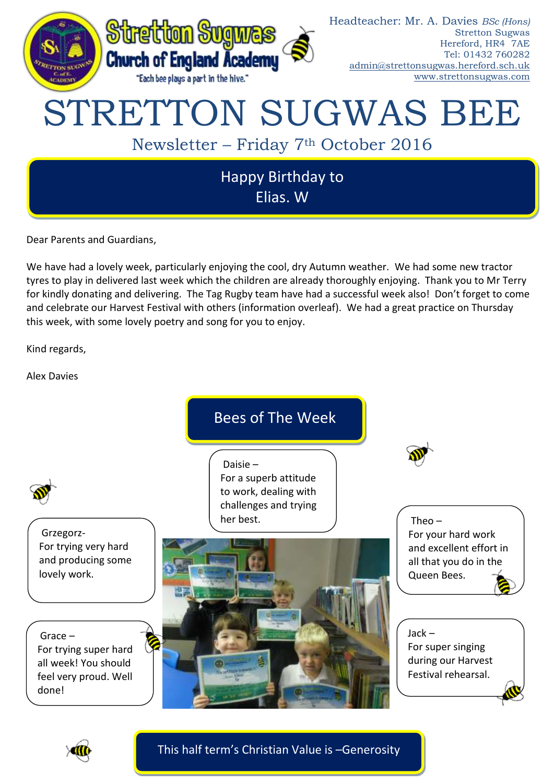

Dear Parents and Guardians,

We have had a lovely week, particularly enjoying the cool, dry Autumn weather. We had some new tractor tyres to play in delivered last week which the children are already thoroughly enjoying. Thank you to Mr Terry for kindly donating and delivering. The Tag Rugby team have had a successful week also! Don't forget to come and celebrate our Harvest Festival with others (information overleaf). We had a great practice on Thursday this week, with some lovely poetry and song for you to enjoy.

Kind regards,

Alex Davies



This half term's Christian Value is –Generosity